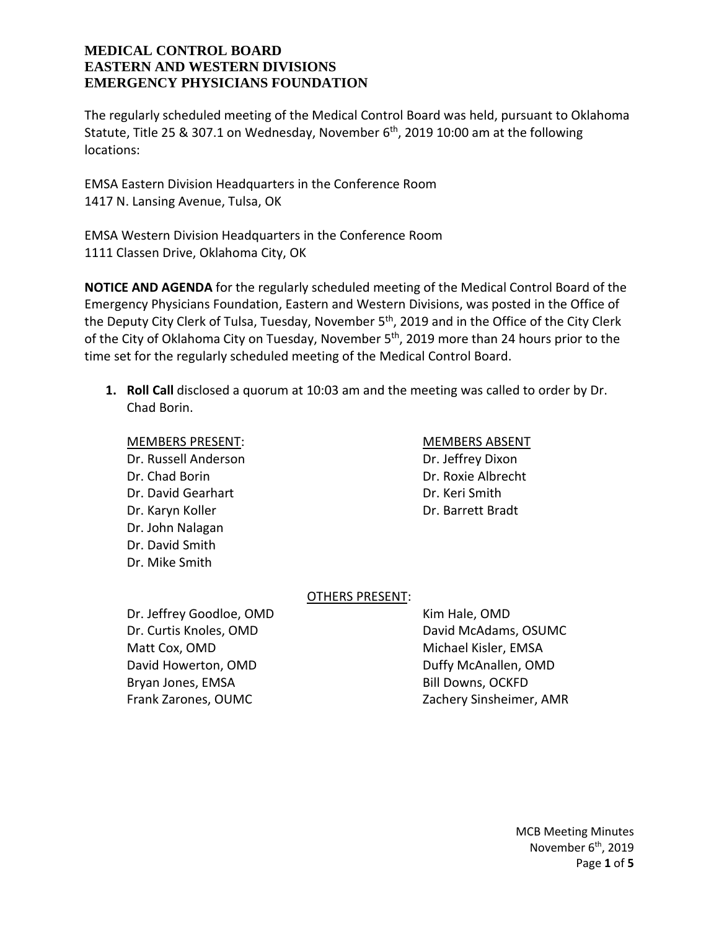The regularly scheduled meeting of the Medical Control Board was held, pursuant to Oklahoma Statute, Title 25 & 307.1 on Wednesday, November  $6<sup>th</sup>$ , 2019 10:00 am at the following locations:

EMSA Eastern Division Headquarters in the Conference Room 1417 N. Lansing Avenue, Tulsa, OK

EMSA Western Division Headquarters in the Conference Room 1111 Classen Drive, Oklahoma City, OK

**NOTICE AND AGENDA** for the regularly scheduled meeting of the Medical Control Board of the Emergency Physicians Foundation, Eastern and Western Divisions, was posted in the Office of the Deputy City Clerk of Tulsa, Tuesday, November 5<sup>th</sup>, 2019 and in the Office of the City Clerk of the City of Oklahoma City on Tuesday, November 5<sup>th</sup>, 2019 more than 24 hours prior to the time set for the regularly scheduled meeting of the Medical Control Board.

**1. Roll Call** disclosed a quorum at 10:03 am and the meeting was called to order by Dr. Chad Borin.

MEMBERS PRESENT: MEMBERS ABSENT Dr. Russell Anderson Dr. Jeffrey Dixon Dr. Chad Borin Dr. Roxie Albrecht Dr. David Gearhart **Dr. Communist Communist Communist Communist Communist Communist Communist Communist Communist Communist Communist Communist Communist Communist Communist Communist Communist Communist Communist Communis** Dr. Karyn Koller **Dr. Barrett Bradt** Dr. John Nalagan Dr. David Smith Dr. Mike Smith

# OTHERS PRESENT:

Dr. Jeffrey Goodloe, OMD Kim Hale, OMD Dr. Curtis Knoles, OMD David McAdams, OSUMC Matt Cox, OMD **Michael Kisler, EMSA** David Howerton, OMD **Duffy McAnallen, OMD** Bryan Jones, EMSA Bill Downs, OCKFD Frank Zarones, OUMC Zachery Sinsheimer, AMR

MCB Meeting Minutes November 6<sup>th</sup>, 2019 Page **1** of **5**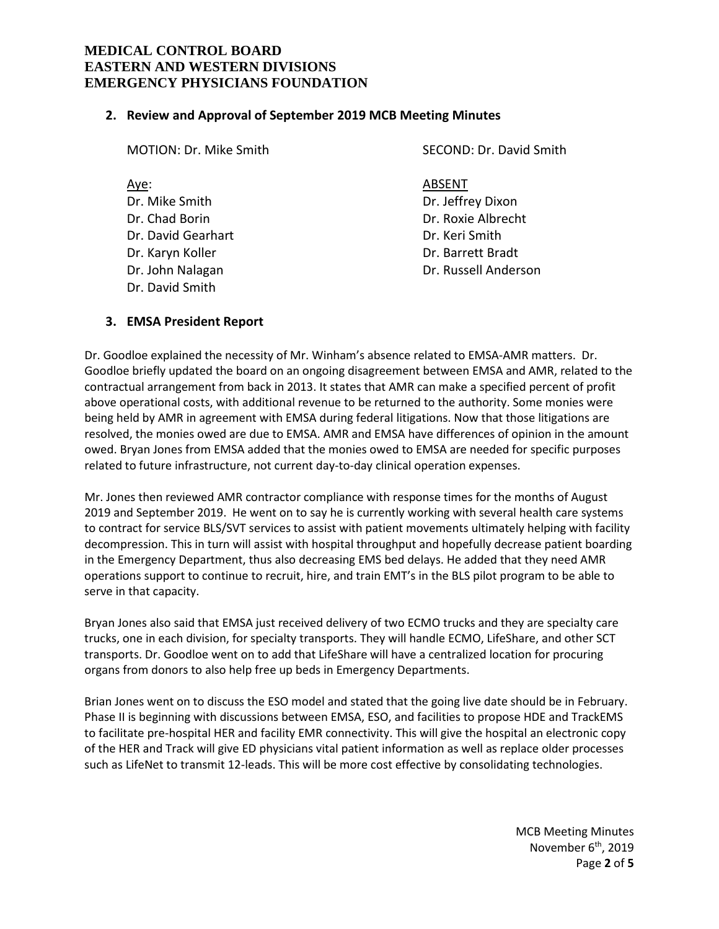#### **2. Review and Approval of September 2019 MCB Meeting Minutes**

| <b>MOTION: Dr. Mike Smith</b>                                                                                             | SECOND: Dr. David Smith                                                                                          |
|---------------------------------------------------------------------------------------------------------------------------|------------------------------------------------------------------------------------------------------------------|
| Aye:<br>Dr. Mike Smith<br>Dr. Chad Borin<br>Dr. David Gearhart<br>Dr. Karyn Koller<br>Dr. John Nalagan<br>Dr. David Smith | ABSENT<br>Dr. Jeffrey Dixon<br>Dr. Roxie Albrecht<br>Dr. Keri Smith<br>Dr. Barrett Bradt<br>Dr. Russell Anderson |
|                                                                                                                           |                                                                                                                  |

## **3. EMSA President Report**

Dr. Goodloe explained the necessity of Mr. Winham's absence related to EMSA-AMR matters. Dr. Goodloe briefly updated the board on an ongoing disagreement between EMSA and AMR, related to the contractual arrangement from back in 2013. It states that AMR can make a specified percent of profit above operational costs, with additional revenue to be returned to the authority. Some monies were being held by AMR in agreement with EMSA during federal litigations. Now that those litigations are resolved, the monies owed are due to EMSA. AMR and EMSA have differences of opinion in the amount owed. Bryan Jones from EMSA added that the monies owed to EMSA are needed for specific purposes related to future infrastructure, not current day-to-day clinical operation expenses.

Mr. Jones then reviewed AMR contractor compliance with response times for the months of August 2019 and September 2019. He went on to say he is currently working with several health care systems to contract for service BLS/SVT services to assist with patient movements ultimately helping with facility decompression. This in turn will assist with hospital throughput and hopefully decrease patient boarding in the Emergency Department, thus also decreasing EMS bed delays. He added that they need AMR operations support to continue to recruit, hire, and train EMT's in the BLS pilot program to be able to serve in that capacity.

Bryan Jones also said that EMSA just received delivery of two ECMO trucks and they are specialty care trucks, one in each division, for specialty transports. They will handle ECMO, LifeShare, and other SCT transports. Dr. Goodloe went on to add that LifeShare will have a centralized location for procuring organs from donors to also help free up beds in Emergency Departments.

Brian Jones went on to discuss the ESO model and stated that the going live date should be in February. Phase II is beginning with discussions between EMSA, ESO, and facilities to propose HDE and TrackEMS to facilitate pre-hospital HER and facility EMR connectivity. This will give the hospital an electronic copy of the HER and Track will give ED physicians vital patient information as well as replace older processes such as LifeNet to transmit 12-leads. This will be more cost effective by consolidating technologies.

> MCB Meeting Minutes November 6<sup>th</sup>, 2019 Page **2** of **5**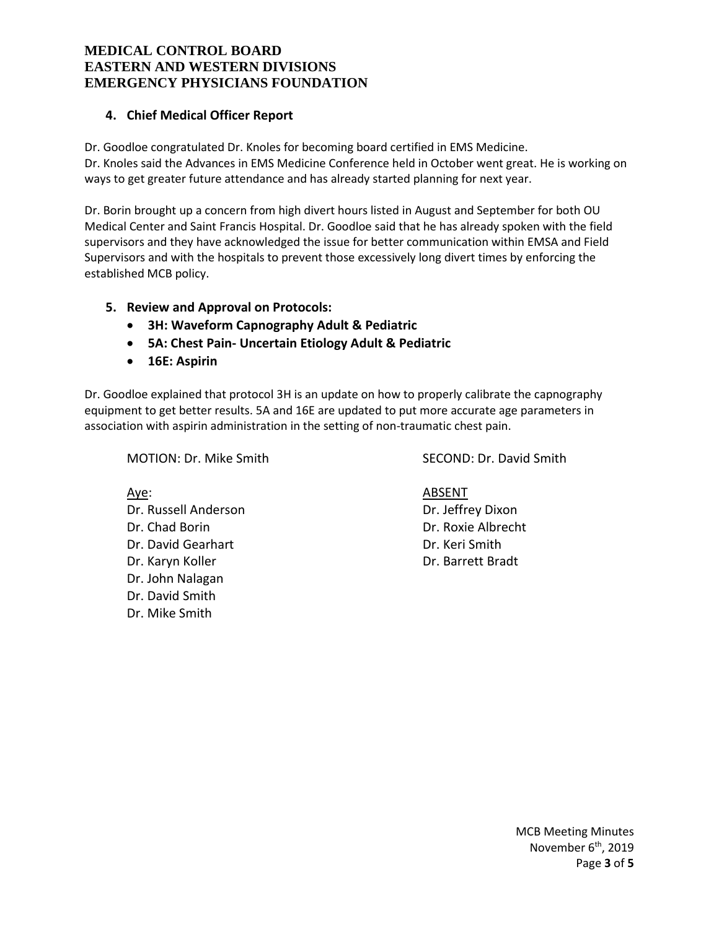# **4. Chief Medical Officer Report**

Dr. Goodloe congratulated Dr. Knoles for becoming board certified in EMS Medicine. Dr. Knoles said the Advances in EMS Medicine Conference held in October went great. He is working on ways to get greater future attendance and has already started planning for next year.

Dr. Borin brought up a concern from high divert hours listed in August and September for both OU Medical Center and Saint Francis Hospital. Dr. Goodloe said that he has already spoken with the field supervisors and they have acknowledged the issue for better communication within EMSA and Field Supervisors and with the hospitals to prevent those excessively long divert times by enforcing the established MCB policy.

## **5. Review and Approval on Protocols:**

- **3H: Waveform Capnography Adult & Pediatric**
- **5A: Chest Pain- Uncertain Etiology Adult & Pediatric**
- **16E: Aspirin**

Dr. Goodloe explained that protocol 3H is an update on how to properly calibrate the capnography equipment to get better results. 5A and 16E are updated to put more accurate age parameters in association with aspirin administration in the setting of non-traumatic chest pain.

MOTION: Dr. Mike Smith SECOND: Dr. David Smith

Dr. Russell Anderson Dr. Jeffrey Dixon Dr. Chad Borin Dr. Roxie Albrecht Dr. David Gearhart **Dr. Communist Communist Communist Communist Communist Communist Communist Communist Communist Communist Communist Communist Communist Communist Communist Communist Communist Communist Communist Communis** Dr. Karyn Koller National Broader Active Bradt Dr. Barrett Bradt Dr. John Nalagan Dr. David Smith Dr. Mike Smith

Aye: And ABSENT

MCB Meeting Minutes November 6<sup>th</sup>, 2019 Page **3** of **5**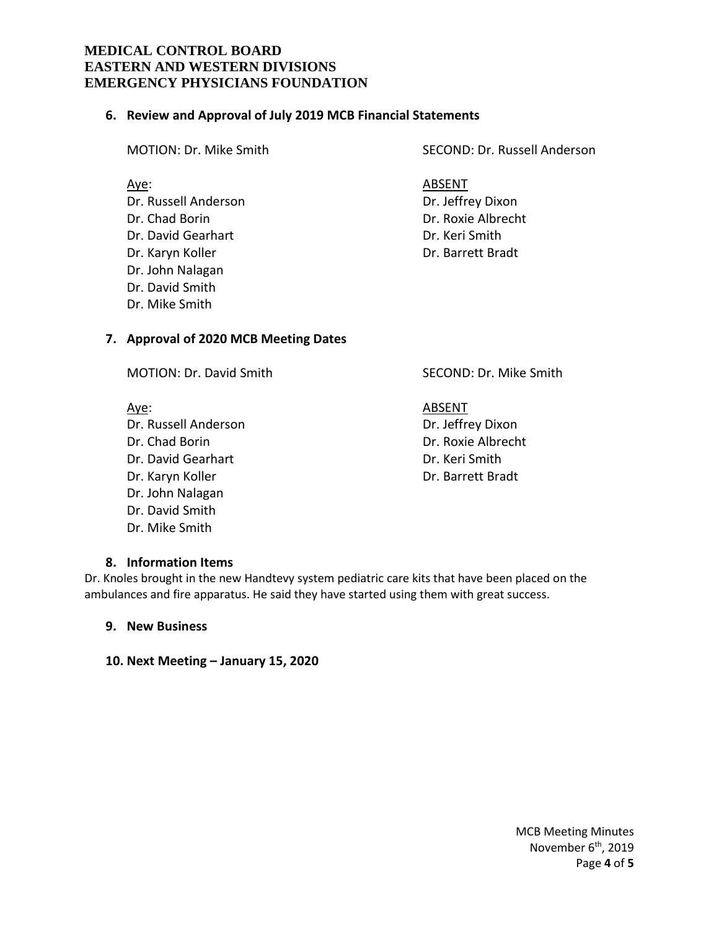#### **6. Review and Approval of July 2019 MCB Financial Statements**

Dr. Russell Anderson Dr. Jeffrey Dixon Dr. Chad Borin Dr. Roxie Albrecht Dr. David Gearhart **Dr. Keri Smith** Dr. Karyn Koller **Dr. Barrett Bradt** Dr. John Nalagan Dr. David Smith Dr. Mike Smith

## **7. Approval of 2020 MCB Meeting Dates**

MOTION: Dr. David Smith SECOND: Dr. Mike Smith

Aye: And ABSENT Dr. David Gearhart Dr. Keri Smith Dr. John Nalagan

Dr. Russell Anderson Dr. Jeffrey Dixon Dr. Chad Borin Dr. Roxie Albrecht Dr. Karyn Koller National Broadt Dr. Barrett Bradt

#### **8. Information Items**

Dr. David Smith Dr. Mike Smith

Dr. Knoles brought in the new Handtevy system pediatric care kits that have been placed on the ambulances and fire apparatus. He said they have started using them with great success.

## **9. New Business**

**10. Next Meeting – January 15, 2020**

MCB Meeting Minutes November 6<sup>th</sup>, 2019 Page **4** of **5**

MOTION: Dr. Mike Smith SECOND: Dr. Russell Anderson

Aye: And ABSENT